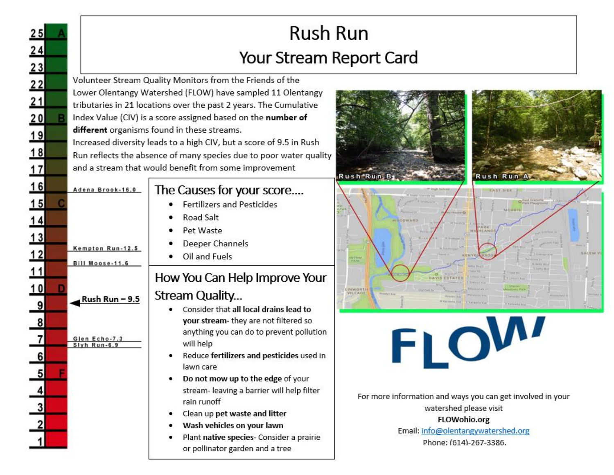| 25                                                                   |                                                                           | <b>Rush Run</b><br>Your Stream Report Card                                                                                                                                                                                                                                                                                                                                                                                                                                                                        |                                                                                                                                                                                            |  |
|----------------------------------------------------------------------|---------------------------------------------------------------------------|-------------------------------------------------------------------------------------------------------------------------------------------------------------------------------------------------------------------------------------------------------------------------------------------------------------------------------------------------------------------------------------------------------------------------------------------------------------------------------------------------------------------|--------------------------------------------------------------------------------------------------------------------------------------------------------------------------------------------|--|
| $\begin{array}{r} 24 \\ 23 \\ 22 \\ 24 \\ 1 \end{array}$<br>18<br>17 |                                                                           | Volunteer Stream Quality Monitors from the Friends of the<br>Lower Olentangy Watershed (FLOW) have sampled 11 Olentangy<br>tributaries in 21 locations over the past 2 years. The Cumulative<br>Index Value (CIV) is a score assigned based on the number of<br>different organisms found in these streams.<br>Increased diversity leads to a high CIV, but a score of 9.5 in Rush<br>Run reflects the absence of many species due to poor water quality<br>and a stream that would benefit from some improvement | Rush Run A<br>Rush Run, B                                                                                                                                                                  |  |
| 16<br>15<br>14<br>13<br>12<br>11<br>10<br>9                          | Adena Brook-16.0<br>Kempton Run-12.5<br>Bill Moose-11.6<br>Rush Run – 9.5 | The Causes for your score<br><b>Fertilizers and Pesticides</b><br>Road Salt<br>Pet Waste<br>Deeper Channels<br>Oil and Fuels<br>How You Can Help Improve Your<br>Stream Quality<br>Consider that all local drains lead to<br>your stream- they are not filtered so                                                                                                                                                                                                                                                | <b>Nitional</b><br><b>LEN WORTH</b><br>VILLAG                                                                                                                                              |  |
|                                                                      | Glen Echo-7.3<br>Slyh Run-6.9                                             | anything you can do to prevent pollution<br>will help<br>Reduce fertilizers and pesticides used in<br>lawn care<br>Do not mow up to the edge of your<br>٠<br>stream- leaving a barrier will help filter<br>rain runoff<br>Clean up pet waste and litter<br>Wash vehicles on your lawn<br>Plant native species- Consider a prairie<br>or pollinator garden and a tree                                                                                                                                              | <b>TVI.</b><br>For more information and ways you can get involved in your<br>watershed please visit<br><b>FLOWohio.org</b><br>Email: info@olentangywatershed.org<br>Phone: (614)-267-3386. |  |